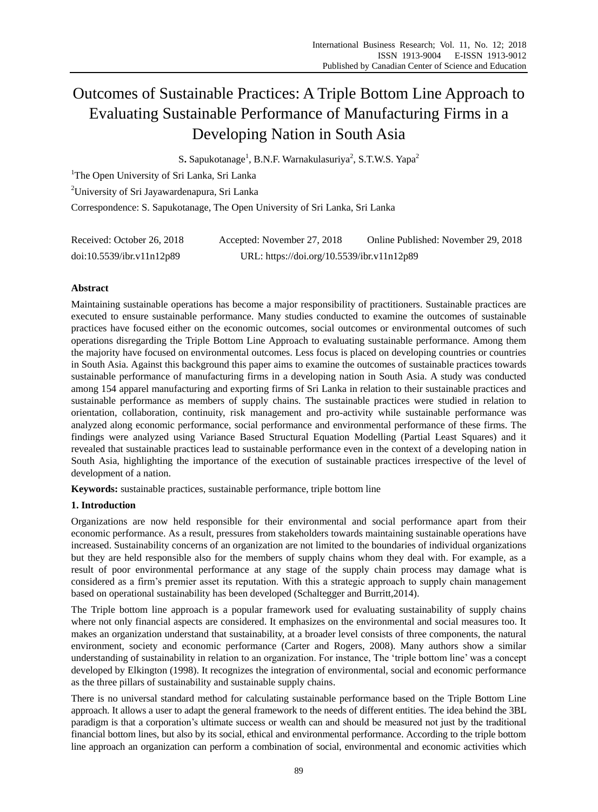# Outcomes of Sustainable Practices: A Triple Bottom Line Approach to Evaluating Sustainable Performance of Manufacturing Firms in a Developing Nation in South Asia

S. Sapukotanage<sup>1</sup>, B.N.F. Warnakulasuriya<sup>2</sup>, S.T.W.S. Yapa<sup>2</sup>

<sup>1</sup>The Open University of Sri Lanka, Sri Lanka

<sup>2</sup>University of Sri Jayawardenapura, Sri Lanka

Correspondence: S. Sapukotanage, The Open University of Sri Lanka, Sri Lanka

| Received: October 26, 2018 | Accepted: November 27, 2018                | Online Published: November 29, 2018 |
|----------------------------|--------------------------------------------|-------------------------------------|
| doi:10.5539/ibr.v11n12p89  | URL: https://doi.org/10.5539/ibr.v11n12p89 |                                     |

# **Abstract**

Maintaining sustainable operations has become a major responsibility of practitioners. Sustainable practices are executed to ensure sustainable performance. Many studies conducted to examine the outcomes of sustainable practices have focused either on the economic outcomes, social outcomes or environmental outcomes of such operations disregarding the Triple Bottom Line Approach to evaluating sustainable performance. Among them the majority have focused on environmental outcomes. Less focus is placed on developing countries or countries in South Asia. Against this background this paper aims to examine the outcomes of sustainable practices towards sustainable performance of manufacturing firms in a developing nation in South Asia. A study was conducted among 154 apparel manufacturing and exporting firms of Sri Lanka in relation to their sustainable practices and sustainable performance as members of supply chains. The sustainable practices were studied in relation to orientation, collaboration, continuity, risk management and pro-activity while sustainable performance was analyzed along economic performance, social performance and environmental performance of these firms. The findings were analyzed using Variance Based Structural Equation Modelling (Partial Least Squares) and it revealed that sustainable practices lead to sustainable performance even in the context of a developing nation in South Asia, highlighting the importance of the execution of sustainable practices irrespective of the level of development of a nation.

**Keywords:** sustainable practices, sustainable performance, triple bottom line

# **1. Introduction**

Organizations are now held responsible for their environmental and social performance apart from their economic performance. As a result, pressures from stakeholders towards maintaining sustainable operations have increased. Sustainability concerns of an organization are not limited to the boundaries of individual organizations but they are held responsible also for the members of supply chains whom they deal with. For example, as a result of poor environmental performance at any stage of the supply chain process may damage what is considered as a firm"s premier asset its reputation. With this a strategic approach to supply chain management based on operational sustainability has been developed (Schaltegger an[d Burritt,2](http://www.emeraldinsight.com/author/Burritt%2C+Roger)014).

The Triple bottom line approach is a popular framework used for evaluating sustainability of supply chains where not only financial aspects are considered. It emphasizes on the environmental and social measures too. It makes an organization understand that sustainability, at a broader level consists of three components, the natural environment, society and economic performance (Carter and Rogers, 2008). Many authors show a similar understanding of sustainability in relation to an organization. For instance, The "triple bottom line" was a concept developed by Elkington (1998). It recognizes the integration of environmental, social and economic performance as the three pillars of sustainability and sustainable supply chains.

There is no universal standard method for calculating sustainable performance based on the Triple Bottom Line approach. It allows a user to adapt the general framework to the needs of different entities. The idea behind the 3BL paradigm is that a corporation"s ultimate success or wealth can and should be measured not just by the traditional financial bottom lines, but also by its social, ethical and environmental performance. According to the triple bottom line approach an organization can perform a combination of social, environmental and economic activities which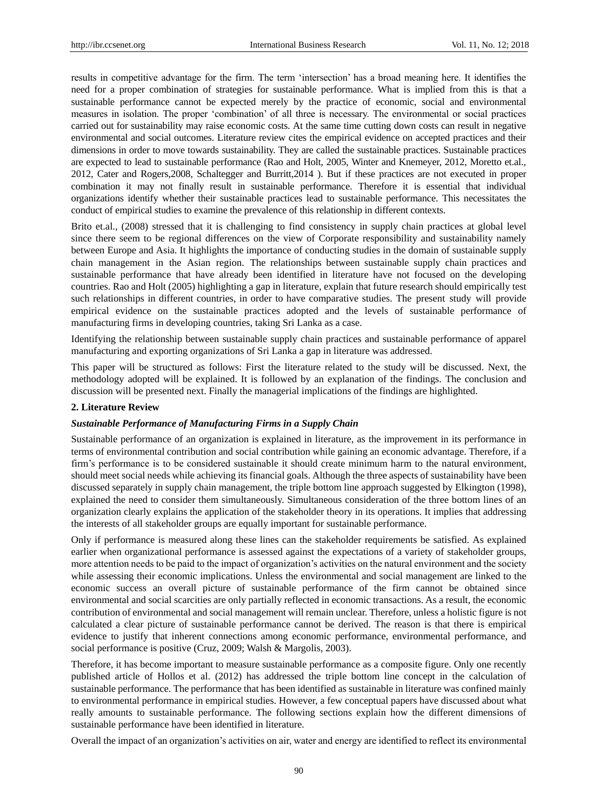results in competitive advantage for the firm. The term "intersection" has a broad meaning here. It identifies the need for a proper combination of strategies for sustainable performance. What is implied from this is that a sustainable performance cannot be expected merely by the practice of economic, social and environmental measures in isolation. The proper "combination" of all three is necessary. The environmental or social practices carried out for sustainability may raise economic costs. At the same time cutting down costs can result in negative environmental and social outcomes. Literature review cites the empirical evidence on accepted practices and their dimensions in order to move towards sustainability. They are called the sustainable practices. Sustainable practices are expected to lead to sustainable performance (Rao and Holt, 2005, Winter and Knemeyer, 2012, Moretto et.al., 2012, Cater and Rogers,2008, Schaltegger and [Burritt,2](http://www.emeraldinsight.com/author/Burritt%2C+Roger)014 ). But if these practices are not executed in proper combination it may not finally result in sustainable performance. Therefore it is essential that individual organizations identify whether their sustainable practices lead to sustainable performance. This necessitates the conduct of empirical studies to examine the prevalence of this relationship in different contexts.

Brito et.al., (2008) stressed that it is challenging to find consistency in supply chain practices at global level since there seem to be regional differences on the view of Corporate responsibility and sustainability namely between Europe and Asia. It highlights the importance of conducting studies in the domain of sustainable supply chain management in the Asian region. The relationships between sustainable supply chain practices and sustainable performance that have already been identified in literature have not focused on the developing countries. Rao and Holt (2005) highlighting a gap in literature, explain that future research should empirically test such relationships in different countries, in order to have comparative studies. The present study will provide empirical evidence on the sustainable practices adopted and the levels of sustainable performance of manufacturing firms in developing countries, taking Sri Lanka as a case.

Identifying the relationship between sustainable supply chain practices and sustainable performance of apparel manufacturing and exporting organizations of Sri Lanka a gap in literature was addressed.

This paper will be structured as follows: First the literature related to the study will be discussed. Next, the methodology adopted will be explained. It is followed by an explanation of the findings. The conclusion and discussion will be presented next. Finally the managerial implications of the findings are highlighted.

## **2. Literature Review**

#### *Sustainable Performance of Manufacturing Firms in a Supply Chain*

Sustainable performance of an organization is explained in literature, as the improvement in its performance in terms of environmental contribution and social contribution while gaining an economic advantage. Therefore, if a firm"s performance is to be considered sustainable it should create minimum harm to the natural environment, should meet social needs while achieving its financial goals. Although the three aspects of sustainability have been discussed separately in supply chain management, the triple bottom line approach suggested by Elkington (1998), explained the need to consider them simultaneously. Simultaneous consideration of the three bottom lines of an organization clearly explains the application of the stakeholder theory in its operations. It implies that addressing the interests of all stakeholder groups are equally important for sustainable performance.

Only if performance is measured along these lines can the stakeholder requirements be satisfied. As explained earlier when organizational performance is assessed against the expectations of a variety of stakeholder groups, more attention needs to be paid to the impact of organization"s activities on the natural environment and the society while assessing their economic implications. Unless the environmental and social management are linked to the economic success an overall picture of sustainable performance of the firm cannot be obtained since environmental and social scarcities are only partially reflected in economic transactions. As a result, the economic contribution of environmental and social management will remain unclear. Therefore, unless a holistic figure is not calculated a clear picture of sustainable performance cannot be derived. The reason is that there is empirical evidence to justify that inherent connections among economic performance, environmental performance, and social performance is positive (Cruz, 2009; Walsh & Margolis, 2003).

Therefore, it has become important to measure sustainable performance as a composite figure. Only one recently published article of Hollos et al. (2012) has addressed the triple bottom line concept in the calculation of sustainable performance. The performance that has been identified as sustainable in literature was confined mainly to environmental performance in empirical studies. However, a few conceptual papers have discussed about what really amounts to sustainable performance. The following sections explain how the different dimensions of sustainable performance have been identified in literature.

Overall the impact of an organization"s activities on air, water and energy are identified to reflect its environmental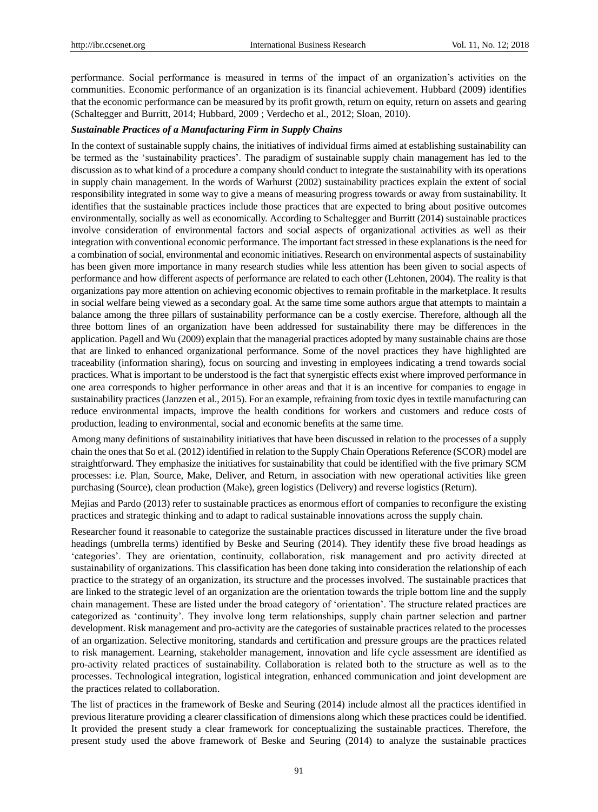performance. Social performance is measured in terms of the impact of an organization"s activities on the communities. Economic performance of an organization is its financial achievement. Hubbard (2009) identifies that the economic performance can be measured by its profit growth, return on equity, return on assets and gearing (Schaltegger and Burritt, 2014; Hubbard, 2009 ; Verdecho et al., 2012; Sloan, 2010).

#### *Sustainable Practices of a Manufacturing Firm in Supply Chains*

In the context of sustainable supply chains, the initiatives of individual firms aimed at establishing sustainability can be termed as the "sustainability practices". The paradigm of sustainable supply chain management has led to the discussion as to what kind of a procedure a company should conduct to integrate the sustainability with its operations in supply chain management. In the words of Warhurst (2002) sustainability practices explain the extent of social responsibility integrated in some way to give a means of measuring progress towards or away from sustainability. It identifies that the sustainable practices include those practices that are expected to bring about positive outcomes environmentally, socially as well as economically. According to Schaltegger and Burritt (2014) sustainable practices involve consideration of environmental factors and social aspects of organizational activities as well as their integration with conventional economic performance. The important fact stressed in these explanations is the need for a combination of social, environmental and economic initiatives. Research on environmental aspects of sustainability has been given more importance in many research studies while less attention has been given to social aspects of performance and how different aspects of performance are related to each other (Lehtonen, 2004). The reality is that organizations pay more attention on achieving economic objectives to remain profitable in the marketplace. It results in social welfare being viewed as a secondary goal. At the same time some authors argue that attempts to maintain a balance among the three pillars of sustainability performance can be a costly exercise. Therefore, although all the three bottom lines of an organization have been addressed for sustainability there may be differences in the application. Pagell and Wu (2009) explain that the managerial practices adopted by many sustainable chains are those that are linked to enhanced organizational performance. Some of the novel practices they have highlighted are traceability (information sharing), focus on sourcing and investing in employees indicating a trend towards social practices. What is important to be understood is the fact that synergistic effects exist where improved performance in one area corresponds to higher performance in other areas and that it is an incentive for companies to engage in sustainability practices (Janzzen et al., 2015). For an example, refraining from toxic dyes in textile manufacturing can reduce environmental impacts, improve the health conditions for workers and customers and reduce costs of production, leading to environmental, social and economic benefits at the same time.

Among many definitions of sustainability initiatives that have been discussed in relation to the processes of a supply chain the ones that So et al. (2012) identified in relation to the Supply Chain Operations Reference (SCOR) model are straightforward. They emphasize the initiatives for sustainability that could be identified with the five primary SCM processes: i.e. Plan, Source, Make, Deliver, and Return, in association with new operational activities like green purchasing (Source), clean production (Make), green logistics (Delivery) and reverse logistics (Return).

Mejias and Pardo (2013) refer to sustainable practices as enormous effort of companies to reconfigure the existing practices and strategic thinking and to adapt to radical sustainable innovations across the supply chain.

Researcher found it reasonable to categorize the sustainable practices discussed in literature under the five broad headings (umbrella terms) identified by Beske and Seuring (2014). They identify these five broad headings as "categories". They are orientation, continuity, collaboration, risk management and pro activity directed at sustainability of organizations. This classification has been done taking into consideration the relationship of each practice to the strategy of an organization, its structure and the processes involved. The sustainable practices that are linked to the strategic level of an organization are the orientation towards the triple bottom line and the supply chain management. These are listed under the broad category of "orientation". The structure related practices are categorized as "continuity". They involve long term relationships, supply chain partner selection and partner development. Risk management and pro-activity are the categories of sustainable practices related to the processes of an organization. Selective monitoring, standards and certification and pressure groups are the practices related to risk management. Learning, stakeholder management, innovation and life cycle assessment are identified as pro-activity related practices of sustainability. Collaboration is related both to the structure as well as to the processes. Technological integration, logistical integration, enhanced communication and joint development are the practices related to collaboration.

The list of practices in the framework of Beske and Seuring (2014) include almost all the practices identified in previous literature providing a clearer classification of dimensions along which these practices could be identified. It provided the present study a clear framework for conceptualizing the sustainable practices. Therefore, the present study used the above framework of Beske and Seuring (2014) to analyze the sustainable practices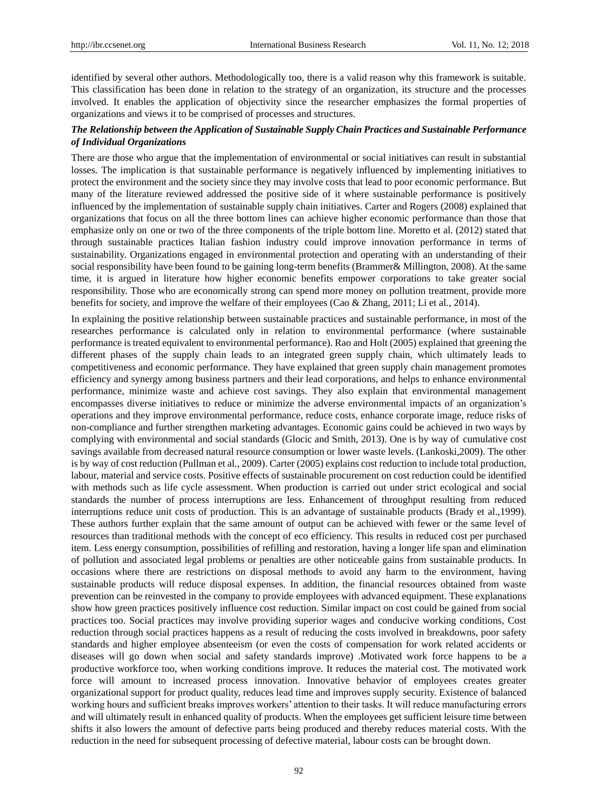identified by several other authors. Methodologically too, there is a valid reason why this framework is suitable. This classification has been done in relation to the strategy of an organization, its structure and the processes involved. It enables the application of objectivity since the researcher emphasizes the formal properties of organizations and views it to be comprised of processes and structures.

## *The Relationship between the Application of Sustainable Supply Chain Practices and Sustainable Performance of Individual Organizations*

There are those who argue that the implementation of environmental or social initiatives can result in substantial losses. The implication is that sustainable performance is negatively influenced by implementing initiatives to protect the environment and the society since they may involve costs that lead to poor economic performance. But many of the literature reviewed addressed the positive side of it where sustainable performance is positively influenced by the implementation of sustainable supply chain initiatives. Carter and Rogers (2008) explained that organizations that focus on all the three bottom lines can achieve higher economic performance than those that emphasize only on one or two of the three components of the triple bottom line. Moretto et al. (2012) stated that through sustainable practices Italian fashion industry could improve innovation performance in terms of sustainability. Organizations engaged in environmental protection and operating with an understanding of their social responsibility have been found to be gaining long-term benefits (Brammer& Millington, 2008). At the same time, it is argued in literature how higher economic benefits empower corporations to take greater social responsibility. Those who are economically strong can spend more money on pollution treatment, provide more benefits for society, and improve the welfare of their employees (Cao & Zhang, 2011; Li et al., 2014).

In explaining the positive relationship between sustainable practices and sustainable performance, in most of the researches performance is calculated only in relation to environmental performance (where sustainable performance is treated equivalent to environmental performance). Rao and Holt (2005) explained that greening the different phases of the supply chain leads to an integrated green supply chain, which ultimately leads to competitiveness and economic performance. They have explained that green supply chain management promotes efficiency and synergy among business partners and their lead corporations, and helps to enhance environmental performance, minimize waste and achieve cost savings. They also explain that environmental management encompasses diverse initiatives to reduce or minimize the adverse environmental impacts of an organization"s operations and they improve environmental performance, reduce costs, enhance corporate image, reduce risks of non-compliance and further strengthen marketing advantages. Economic gains could be achieved in two ways by complying with environmental and social standards (Glocic and Smith, 2013). One is by way of cumulative cost savings available from decreased natural resource consumption or lower waste levels. (Lankoski,2009). The other is by way of cost reduction (Pullman et al., 2009). Carter (2005) explains cost reduction to include total production, labour, material and service costs. Positive effects of sustainable procurement on cost reduction could be identified with methods such as life cycle assessment. When production is carried out under strict ecological and social standards the number of process interruptions are less. Enhancement of throughput resulting from reduced interruptions reduce unit costs of production. This is an advantage of sustainable products (Brady et al.,1999). These authors further explain that the same amount of output can be achieved with fewer or the same level of resources than traditional methods with the concept of eco efficiency. This results in reduced cost per purchased item. Less energy consumption, possibilities of refilling and restoration, having a longer life span and elimination of pollution and associated legal problems or penalties are other noticeable gains from sustainable products. In occasions where there are restrictions on disposal methods to avoid any harm to the environment, having sustainable products will reduce disposal expenses. In addition, the financial resources obtained from waste prevention can be reinvested in the company to provide employees with advanced equipment. These explanations show how green practices positively influence cost reduction. Similar impact on cost could be gained from social practices too. Social practices may involve providing superior wages and conducive working conditions, Cost reduction through social practices happens as a result of reducing the costs involved in breakdowns, poor safety standards and higher employee absenteeism (or even the costs of compensation for work related accidents or diseases will go down when social and safety standards improve) .Motivated work force happens to be a productive workforce too, when working conditions improve. It reduces the material cost. The motivated work force will amount to increased process innovation. Innovative behavior of employees creates greater organizational support for product quality, reduces lead time and improves supply security. Existence of balanced working hours and sufficient breaks improves workers" attention to their tasks. It will reduce manufacturing errors and will ultimately result in enhanced quality of products. When the employees get sufficient leisure time between shifts it also lowers the amount of defective parts being produced and thereby reduces material costs. With the reduction in the need for subsequent processing of defective material, labour costs can be brought down.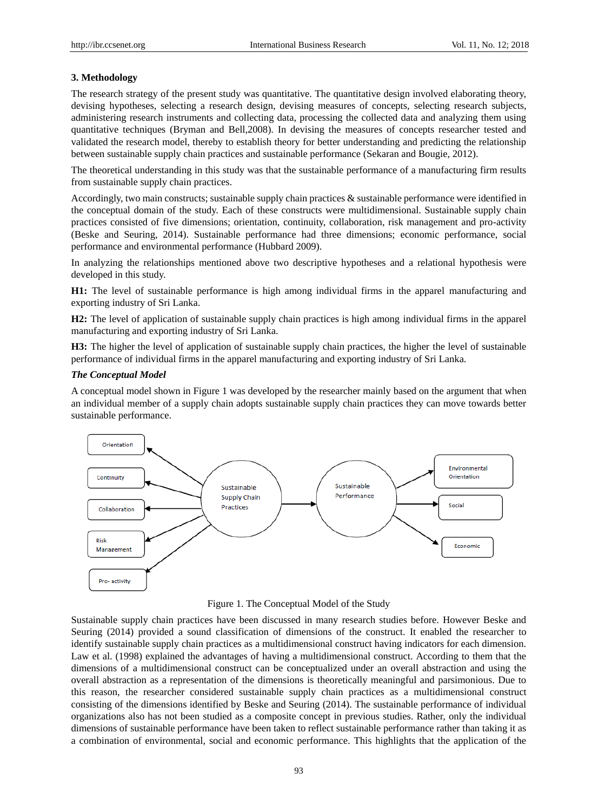## **3. Methodology**

The research strategy of the present study was quantitative. The quantitative design involved elaborating theory, devising hypotheses, selecting a research design, devising measures of concepts, selecting research subjects, administering research instruments and collecting data, processing the collected data and analyzing them using quantitative techniques (Bryman and Bell,2008). In devising the measures of concepts researcher tested and validated the research model, thereby to establish theory for better understanding and predicting the relationship between sustainable supply chain practices and sustainable performance (Sekaran and Bougie, 2012).

The theoretical understanding in this study was that the sustainable performance of a manufacturing firm results from sustainable supply chain practices.

Accordingly, two main constructs; sustainable supply chain practices & sustainable performance were identified in the conceptual domain of the study. Each of these constructs were multidimensional. Sustainable supply chain practices consisted of five dimensions; orientation, continuity, collaboration, risk management and pro-activity (Beske and Seuring, 2014). Sustainable performance had three dimensions; economic performance, social performance and environmental performance (Hubbard 2009).

In analyzing the relationships mentioned above two descriptive hypotheses and a relational hypothesis were developed in this study.

**H1:** The level of sustainable performance is high among individual firms in the apparel manufacturing and exporting industry of Sri Lanka.

**H2:** The level of application of sustainable supply chain practices is high among individual firms in the apparel manufacturing and exporting industry of Sri Lanka.

**H3:** The higher the level of application of sustainable supply chain practices, the higher the level of sustainable performance of individual firms in the apparel manufacturing and exporting industry of Sri Lanka.

## *The Conceptual Model*

A conceptual model shown in Figure 1 was developed by the researcher mainly based on the argument that when an individual member of a supply chain adopts sustainable supply chain practices they can move towards better sustainable performance.



Figure 1. The Conceptual Model of the Study

Sustainable supply chain practices have been discussed in many research studies before. However Beske and Seuring (2014) provided a sound classification of dimensions of the construct. It enabled the researcher to identify sustainable supply chain practices as a multidimensional construct having indicators for each dimension. Law et al. (1998) explained the advantages of having a multidimensional construct. According to them that the dimensions of a multidimensional construct can be conceptualized under an overall abstraction and using the overall abstraction as a representation of the dimensions is theoretically meaningful and parsimonious. Due to this reason, the researcher considered sustainable supply chain practices as a multidimensional construct consisting of the dimensions identified by Beske and Seuring (2014). The sustainable performance of individual organizations also has not been studied as a composite concept in previous studies. Rather, only the individual dimensions of sustainable performance have been taken to reflect sustainable performance rather than taking it as a combination of environmental, social and economic performance. This highlights that the application of the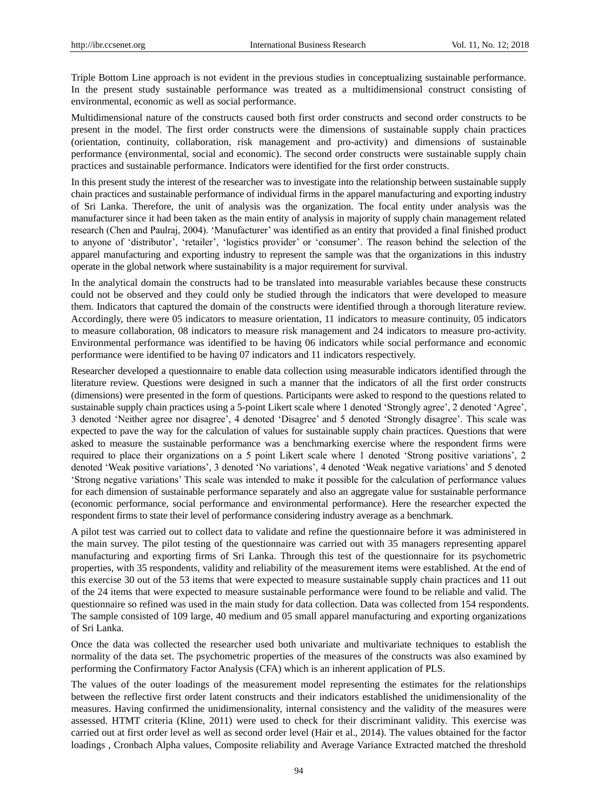Triple Bottom Line approach is not evident in the previous studies in conceptualizing sustainable performance. In the present study sustainable performance was treated as a multidimensional construct consisting of environmental, economic as well as social performance.

Multidimensional nature of the constructs caused both first order constructs and second order constructs to be present in the model. The first order constructs were the dimensions of sustainable supply chain practices (orientation, continuity, collaboration, risk management and pro-activity) and dimensions of sustainable performance (environmental, social and economic). The second order constructs were sustainable supply chain practices and sustainable performance. Indicators were identified for the first order constructs.

In this present study the interest of the researcher was to investigate into the relationship between sustainable supply chain practices and sustainable performance of individual firms in the apparel manufacturing and exporting industry of Sri Lanka. Therefore, the unit of analysis was the organization. The focal entity under analysis was the manufacturer since it had been taken as the main entity of analysis in majority of supply chain management related research (Chen and Paulraj, 2004). "Manufacturer" was identified as an entity that provided a final finished product to anyone of 'distributor', 'retailer', 'logistics provider' or 'consumer'. The reason behind the selection of the apparel manufacturing and exporting industry to represent the sample was that the organizations in this industry operate in the global network where sustainability is a major requirement for survival.

In the analytical domain the constructs had to be translated into measurable variables because these constructs could not be observed and they could only be studied through the indicators that were developed to measure them. Indicators that captured the domain of the constructs were identified through a thorough literature review. Accordingly, there were 05 indicators to measure orientation, 11 indicators to measure continuity, 05 indicators to measure collaboration, 08 indicators to measure risk management and 24 indicators to measure pro-activity. Environmental performance was identified to be having 06 indicators while social performance and economic performance were identified to be having 07 indicators and 11 indicators respectively.

Researcher developed a questionnaire to enable data collection using measurable indicators identified through the literature review. Questions were designed in such a manner that the indicators of all the first order constructs (dimensions) were presented in the form of questions. Participants were asked to respond to the questions related to sustainable supply chain practices using a 5-point Likert scale where 1 denoted "Strongly agree", 2 denoted "Agree", 3 denoted "Neither agree nor disagree", 4 denoted "Disagree" and 5 denoted "Strongly disagree". This scale was expected to pave the way for the calculation of values for sustainable supply chain practices. Questions that were asked to measure the sustainable performance was a benchmarking exercise where the respondent firms were required to place their organizations on a 5 point Likert scale where 1 denoted "Strong positive variations", 2 denoted "Weak positive variations", 3 denoted "No variations", 4 denoted "Weak negative variations" and 5 denoted "Strong negative variations" This scale was intended to make it possible for the calculation of performance values for each dimension of sustainable performance separately and also an aggregate value for sustainable performance (economic performance, social performance and environmental performance). Here the researcher expected the respondent firms to state their level of performance considering industry average as a benchmark.

A pilot test was carried out to collect data to validate and refine the questionnaire before it was administered in the main survey. The pilot testing of the questionnaire was carried out with 35 managers representing apparel manufacturing and exporting firms of Sri Lanka. Through this test of the questionnaire for its psychometric properties, with 35 respondents, validity and reliability of the measurement items were established. At the end of this exercise 30 out of the 53 items that were expected to measure sustainable supply chain practices and 11 out of the 24 items that were expected to measure sustainable performance were found to be reliable and valid. The questionnaire so refined was used in the main study for data collection. Data was collected from 154 respondents. The sample consisted of 109 large, 40 medium and 05 small apparel manufacturing and exporting organizations of Sri Lanka.

Once the data was collected the researcher used both univariate and multivariate techniques to establish the normality of the data set. The psychometric properties of the measures of the constructs was also examined by performing the Confirmatory Factor Analysis (CFA) which is an inherent application of PLS.

The values of the outer loadings of the measurement model representing the estimates for the relationships between the reflective first order latent constructs and their indicators established the unidimensionality of the measures. Having confirmed the unidimensionality, internal consistency and the validity of the measures were assessed. HTMT criteria (Kline, 2011) were used to check for their discriminant validity. This exercise was carried out at first order level as well as second order level (Hair et al., 2014). The values obtained for the factor loadings , Cronbach Alpha values, Composite reliability and Average Variance Extracted matched the threshold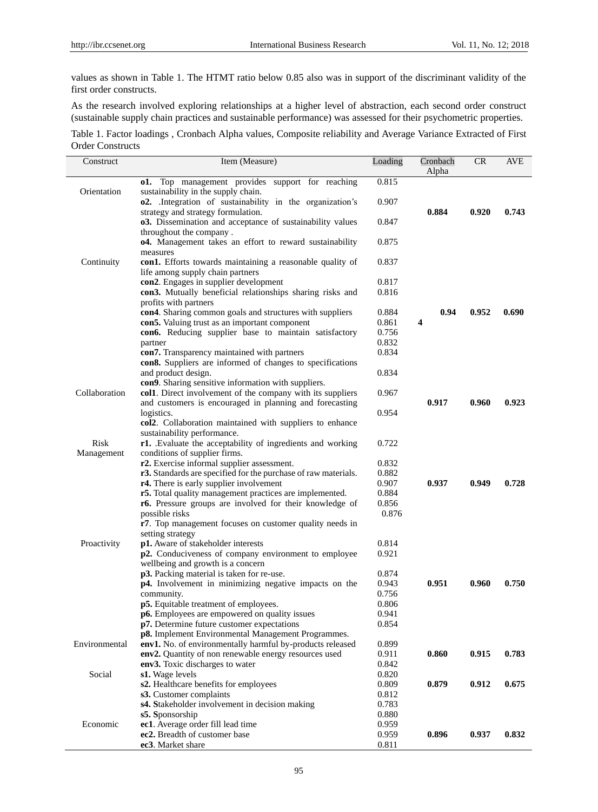values as shown in Table 1. The HTMT ratio below 0.85 also was in support of the discriminant validity of the first order constructs.

As the research involved exploring relationships at a higher level of abstraction, each second order construct (sustainable supply chain practices and sustainable performance) was assessed for their psychometric properties.

Table 1. Factor loadings , Cronbach Alpha values, Composite reliability and Average Variance Extracted of First Order Constructs

| Construct     | Item (Measure)                                                                       | Loading        | Cronbach | <b>CR</b> | AVE   |
|---------------|--------------------------------------------------------------------------------------|----------------|----------|-----------|-------|
|               |                                                                                      |                | Alpha    |           |       |
|               | <b>o1.</b> Top management provides support for reaching                              | 0.815          |          |           |       |
| Orientation   | sustainability in the supply chain.                                                  |                |          |           |       |
|               | <b>o2.</b> Integration of sustainability in the organization's                       | 0.907          |          |           |       |
|               | strategy and strategy formulation.                                                   | 0.847          | 0.884    | 0.920     | 0.743 |
|               | o3. Dissemination and acceptance of sustainability values<br>throughout the company. |                |          |           |       |
|               | o4. Management takes an effort to reward sustainability                              | 0.875          |          |           |       |
|               | measures                                                                             |                |          |           |       |
| Continuity    | con1. Efforts towards maintaining a reasonable quality of                            | 0.837          |          |           |       |
|               | life among supply chain partners                                                     |                |          |           |       |
|               | con2. Engages in supplier development                                                | 0.817          |          |           |       |
|               | con3. Mutually beneficial relationships sharing risks and                            | 0.816          |          |           |       |
|               | profits with partners                                                                |                |          |           |       |
|               | con4. Sharing common goals and structures with suppliers                             | 0.884          | 0.94     | 0.952     | 0.690 |
|               | con5. Valuing trust as an important component                                        | 0.861          | 4        |           |       |
|               | con6. Reducing supplier base to maintain satisfactory                                | 0.756          |          |           |       |
|               | partner                                                                              | 0.832          |          |           |       |
|               | con7. Transparency maintained with partners                                          | 0.834          |          |           |       |
|               | con8. Suppliers are informed of changes to specifications                            | 0.834          |          |           |       |
|               | and product design.<br>con9. Sharing sensitive information with suppliers.           |                |          |           |       |
| Collaboration | col1. Direct involvement of the company with its suppliers                           | 0.967          |          |           |       |
|               | and customers is encouraged in planning and forecasting                              |                | 0.917    | 0.960     | 0.923 |
|               | logistics.                                                                           | 0.954          |          |           |       |
|               | col2. Collaboration maintained with suppliers to enhance                             |                |          |           |       |
|               | sustainability performance.                                                          |                |          |           |       |
| Risk          | r1. Evaluate the acceptability of ingredients and working                            | 0.722          |          |           |       |
| Management    | conditions of supplier firms.                                                        |                |          |           |       |
|               | r2. Exercise informal supplier assessment.                                           | 0.832          |          |           |       |
|               | r3. Standards are specified for the purchase of raw materials.                       | 0.882          |          |           |       |
|               | r4. There is early supplier involvement                                              | 0.907          | 0.937    | 0.949     | 0.728 |
|               | r5. Total quality management practices are implemented.                              | 0.884          |          |           |       |
|               | r6. Pressure groups are involved for their knowledge of                              | 0.856          |          |           |       |
|               | possible risks                                                                       | 0.876          |          |           |       |
|               | r7. Top management focuses on customer quality needs in<br>setting strategy          |                |          |           |       |
| Proactivity   | p1. Aware of stakeholder interests                                                   | 0.814          |          |           |       |
|               | p2. Conduciveness of company environment to employee                                 | 0.921          |          |           |       |
|               | wellbeing and growth is a concern                                                    |                |          |           |       |
|               | p3. Packing material is taken for re-use.                                            | 0.874          |          |           |       |
|               | p4. Involvement in minimizing negative impacts on the                                | 0.943          | 0.951    | 0.960     | 0.750 |
|               | community.                                                                           | 0.756          |          |           |       |
|               | p5. Equitable treatment of employees.                                                | 0.806          |          |           |       |
|               | p6. Employees are empowered on quality issues                                        | 0.941          |          |           |       |
|               | p7. Determine future customer expectations                                           | 0.854          |          |           |       |
|               | p8. Implement Environmental Management Programmes.                                   |                |          |           |       |
| Environmental | env1. No. of environmentally harmful by-products released                            | 0.899          |          |           |       |
|               | env2. Quantity of non renewable energy resources used                                | 0.911          | 0.860    | 0.915     | 0.783 |
| Social        | env3. Toxic discharges to water<br>s1. Wage levels                                   | 0.842<br>0.820 |          |           |       |
|               | s2. Healthcare benefits for employees                                                | 0.809          | 0.879    | 0.912     | 0.675 |
|               | s3. Customer complaints                                                              | 0.812          |          |           |       |
|               | s4. Stakeholder involvement in decision making                                       | 0.783          |          |           |       |
|               | s5. Sponsorship                                                                      | 0.880          |          |           |       |
| Economic      | ec1. Average order fill lead time                                                    | 0.959          |          |           |       |
|               | ec2. Breadth of customer base                                                        | 0.959          | 0.896    | 0.937     | 0.832 |
|               | ec3. Market share                                                                    | 0.811          |          |           |       |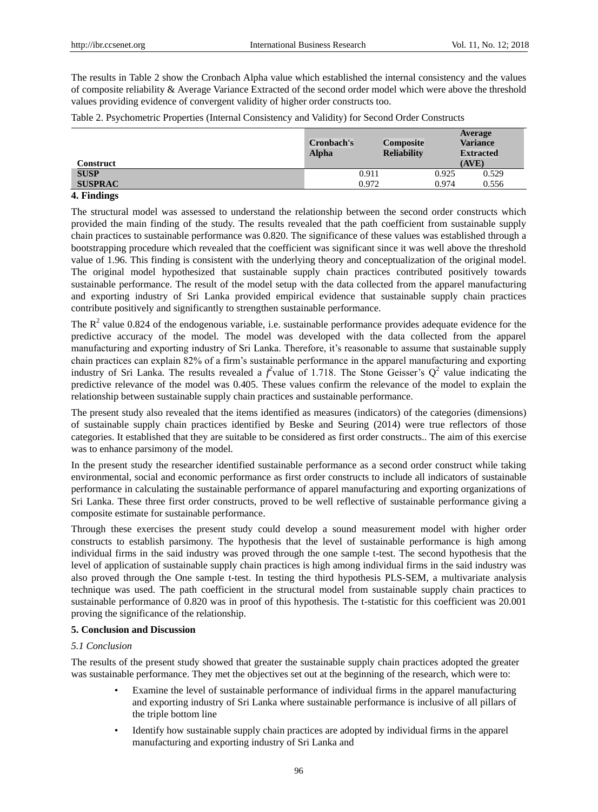The results in Table 2 show the Cronbach Alpha value which established the internal consistency and the values of composite reliability & Average Variance Extracted of the second order model which were above the threshold values providing evidence of convergent validity of higher order constructs too.

Table 2. Psychometric Properties (Internal Consistency and Validity) for Second Order Constructs

| Construct      | Cronbach's<br><b>Alpha</b> | <b>Composite</b><br><b>Reliability</b> | Average<br><b>Variance</b><br><b>Extracted</b><br>(AVE) |  |
|----------------|----------------------------|----------------------------------------|---------------------------------------------------------|--|
| <b>SUSP</b>    | 0.911                      | 0.925                                  | 0.529                                                   |  |
| <b>SUSPRAC</b> | 0.972                      | 0.974                                  | 0.556                                                   |  |
| ______         |                            |                                        |                                                         |  |

#### **4. Findings**

The structural model was assessed to understand the relationship between the second order constructs which provided the main finding of the study. The results revealed that the path coefficient from sustainable supply chain practices to sustainable performance was 0.820. The significance of these values was established through a bootstrapping procedure which revealed that the coefficient was significant since it was well above the threshold value of 1.96. This finding is consistent with the underlying theory and conceptualization of the original model. The original model hypothesized that sustainable supply chain practices contributed positively towards sustainable performance. The result of the model setup with the data collected from the apparel manufacturing and exporting industry of Sri Lanka provided empirical evidence that sustainable supply chain practices contribute positively and significantly to strengthen sustainable performance.

The  $R<sup>2</sup>$  value 0.824 of the endogenous variable, i.e. sustainable performance provides adequate evidence for the predictive accuracy of the model. The model was developed with the data collected from the apparel manufacturing and exporting industry of Sri Lanka. Therefore, it's reasonable to assume that sustainable supply chain practices can explain 82% of a firm"s sustainable performance in the apparel manufacturing and exporting industry of Sri Lanka. The results revealed a  $f^2$ value of 1.718. The Stone Geisser's  $Q^2$  value indicating the predictive relevance of the model was 0.405. These values confirm the relevance of the model to explain the relationship between sustainable supply chain practices and sustainable performance.

The present study also revealed that the items identified as measures (indicators) of the categories (dimensions) of sustainable supply chain practices identified by Beske and Seuring (2014) were true reflectors of those categories. It established that they are suitable to be considered as first order constructs.. The aim of this exercise was to enhance parsimony of the model.

In the present study the researcher identified sustainable performance as a second order construct while taking environmental, social and economic performance as first order constructs to include all indicators of sustainable performance in calculating the sustainable performance of apparel manufacturing and exporting organizations of Sri Lanka. These three first order constructs, proved to be well reflective of sustainable performance giving a composite estimate for sustainable performance.

Through these exercises the present study could develop a sound measurement model with higher order constructs to establish parsimony. The hypothesis that the level of sustainable performance is high among individual firms in the said industry was proved through the one sample t-test. The second hypothesis that the level of application of sustainable supply chain practices is high among individual firms in the said industry was also proved through the One sample t-test. In testing the third hypothesis PLS-SEM, a multivariate analysis technique was used. The path coefficient in the structural model from sustainable supply chain practices to sustainable performance of 0.820 was in proof of this hypothesis. The t-statistic for this coefficient was 20.001 proving the significance of the relationship.

#### **5. Conclusion and Discussion**

#### *5.1 Conclusion*

The results of the present study showed that greater the sustainable supply chain practices adopted the greater was sustainable performance. They met the objectives set out at the beginning of the research, which were to:

- Examine the level of sustainable performance of individual firms in the apparel manufacturing and exporting industry of Sri Lanka where sustainable performance is inclusive of all pillars of the triple bottom line
- Identify how sustainable supply chain practices are adopted by individual firms in the apparel manufacturing and exporting industry of Sri Lanka and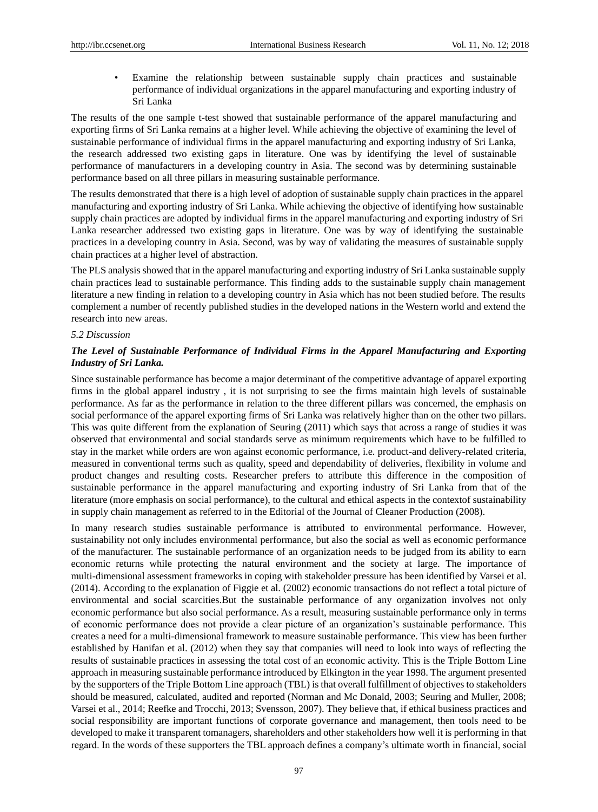Examine the relationship between sustainable supply chain practices and sustainable performance of individual organizations in the apparel manufacturing and exporting industry of Sri Lanka

The results of the one sample t-test showed that sustainable performance of the apparel manufacturing and exporting firms of Sri Lanka remains at a higher level. While achieving the objective of examining the level of sustainable performance of individual firms in the apparel manufacturing and exporting industry of Sri Lanka, the research addressed two existing gaps in literature. One was by identifying the level of sustainable performance of manufacturers in a developing country in Asia. The second was by determining sustainable performance based on all three pillars in measuring sustainable performance.

The results demonstrated that there is a high level of adoption of sustainable supply chain practices in the apparel manufacturing and exporting industry of Sri Lanka. While achieving the objective of identifying how sustainable supply chain practices are adopted by individual firms in the apparel manufacturing and exporting industry of Sri Lanka researcher addressed two existing gaps in literature. One was by way of identifying the sustainable practices in a developing country in Asia. Second, was by way of validating the measures of sustainable supply chain practices at a higher level of abstraction.

The PLS analysis showed that in the apparel manufacturing and exporting industry of Sri Lanka sustainable supply chain practices lead to sustainable performance. This finding adds to the sustainable supply chain management literature a new finding in relation to a developing country in Asia which has not been studied before. The results complement a number of recently published studies in the developed nations in the Western world and extend the research into new areas.

#### *5.2 Discussion*

# *The Level of Sustainable Performance of Individual Firms in the Apparel Manufacturing and Exporting Industry of Sri Lanka.*

Since sustainable performance has become a major determinant of the competitive advantage of apparel exporting firms in the global apparel industry , it is not surprising to see the firms maintain high levels of sustainable performance. As far as the performance in relation to the three different pillars was concerned, the emphasis on social performance of the apparel exporting firms of Sri Lanka was relatively higher than on the other two pillars. This was quite different from the explanation of Seuring (2011) which says that across a range of studies it was observed that environmental and social standards serve as minimum requirements which have to be fulfilled to stay in the market while orders are won against economic performance, i.e. product-and delivery-related criteria, measured in conventional terms such as quality, speed and dependability of deliveries, flexibility in volume and product changes and resulting costs. Researcher prefers to attribute this difference in the composition of sustainable performance in the apparel manufacturing and exporting industry of Sri Lanka from that of the literature (more emphasis on social performance), to the cultural and ethical aspects in the contextof sustainability in supply chain management as referred to in the Editorial of the Journal of Cleaner Production (2008).

In many research studies sustainable performance is attributed to environmental performance. However, sustainability not only includes environmental performance, but also the social as well as economic performance of the manufacturer. The sustainable performance of an organization needs to be judged from its ability to earn economic returns while protecting the natural environment and the society at large. The importance of multi-dimensional assessment frameworks in coping with stakeholder pressure has been identified by Varsei et al. (2014). According to the explanation of Figgie et al. (2002) economic transactions do not reflect a total picture of environmental and social scarcities.But the sustainable performance of any organization involves not only economic performance but also social performance. As a result, measuring sustainable performance only in terms of economic performance does not provide a clear picture of an organization"s sustainable performance. This creates a need for a multi-dimensional framework to measure sustainable performance. This view has been further established by Hanifan et al. (2012) when they say that companies will need to look into ways of reflecting the results of sustainable practices in assessing the total cost of an economic activity. This is the Triple Bottom Line approach in measuring sustainable performance introduced by Elkington in the year 1998. The argument presented by the supporters of the Triple Bottom Line approach (TBL) is that overall fulfillment of objectives to stakeholders should be measured, calculated, audited and reported (Norman and Mc Donald, 2003; Seuring and Muller, 2008; Varsei et al., 2014; Reefke and Trocchi, 2013; Svensson, 2007). They believe that, if ethical business practices and social responsibility are important functions of corporate governance and management, then tools need to be developed to make it transparent tomanagers, shareholders and other stakeholders how well it is performing in that regard. In the words of these supporters the TBL approach defines a company"s ultimate worth in financial, social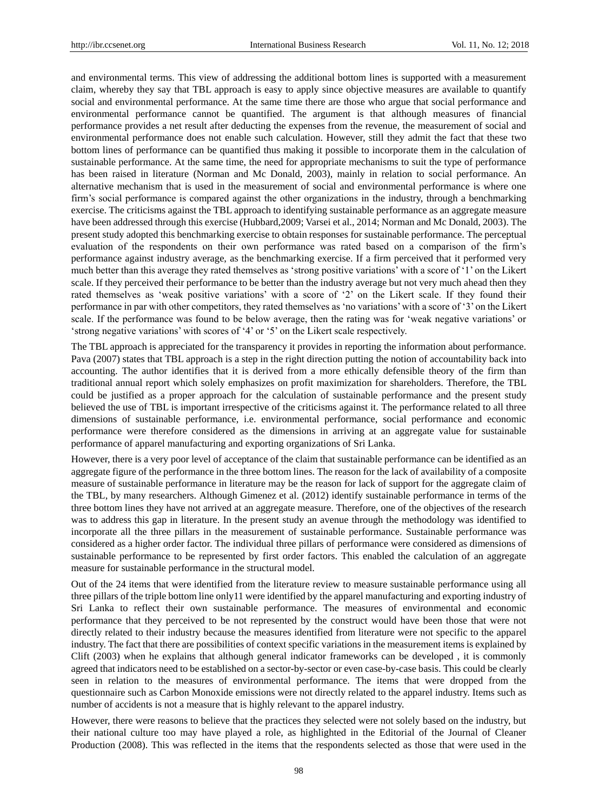and environmental terms. This view of addressing the additional bottom lines is supported with a measurement claim, whereby they say that TBL approach is easy to apply since objective measures are available to quantify social and environmental performance. At the same time there are those who argue that social performance and environmental performance cannot be quantified. The argument is that although measures of financial performance provides a net result after deducting the expenses from the revenue, the measurement of social and environmental performance does not enable such calculation. However, still they admit the fact that these two bottom lines of performance can be quantified thus making it possible to incorporate them in the calculation of sustainable performance. At the same time, the need for appropriate mechanisms to suit the type of performance has been raised in literature (Norman and Mc Donald, 2003), mainly in relation to social performance. An alternative mechanism that is used in the measurement of social and environmental performance is where one firm"s social performance is compared against the other organizations in the industry, through a benchmarking exercise. The criticisms against the TBL approach to identifying sustainable performance as an aggregate measure have been addressed through this exercise (Hubbard,2009; Varsei et al., 2014; Norman and Mc Donald, 2003). The present study adopted this benchmarking exercise to obtain responses for sustainable performance. The perceptual evaluation of the respondents on their own performance was rated based on a comparison of the firm"s performance against industry average, as the benchmarking exercise. If a firm perceived that it performed very much better than this average they rated themselves as "strong positive variations" with a score of "1" on the Likert scale. If they perceived their performance to be better than the industry average but not very much ahead then they rated themselves as 'weak positive variations' with a score of '2' on the Likert scale. If they found their performance in par with other competitors, they rated themselves as "no variations" with a score of "3" on the Likert scale. If the performance was found to be below average, then the rating was for "weak negative variations" or 'strong negative variations' with scores of '4' or '5' on the Likert scale respectively.

The TBL approach is appreciated for the transparency it provides in reporting the information about performance. Pava (2007) states that TBL approach is a step in the right direction putting the notion of accountability back into accounting. The author identifies that it is derived from a more ethically defensible theory of the firm than traditional annual report which solely emphasizes on profit maximization for shareholders. Therefore, the TBL could be justified as a proper approach for the calculation of sustainable performance and the present study believed the use of TBL is important irrespective of the criticisms against it. The performance related to all three dimensions of sustainable performance, i.e. environmental performance, social performance and economic performance were therefore considered as the dimensions in arriving at an aggregate value for sustainable performance of apparel manufacturing and exporting organizations of Sri Lanka.

However, there is a very poor level of acceptance of the claim that sustainable performance can be identified as an aggregate figure of the performance in the three bottom lines. The reason for the lack of availability of a composite measure of sustainable performance in literature may be the reason for lack of support for the aggregate claim of the TBL, by many researchers. Although Gimenez et al. (2012) identify sustainable performance in terms of the three bottom lines they have not arrived at an aggregate measure. Therefore, one of the objectives of the research was to address this gap in literature. In the present study an avenue through the methodology was identified to incorporate all the three pillars in the measurement of sustainable performance. Sustainable performance was considered as a higher order factor. The individual three pillars of performance were considered as dimensions of sustainable performance to be represented by first order factors. This enabled the calculation of an aggregate measure for sustainable performance in the structural model.

Out of the 24 items that were identified from the literature review to measure sustainable performance using all three pillars of the triple bottom line only11 were identified by the apparel manufacturing and exporting industry of Sri Lanka to reflect their own sustainable performance. The measures of environmental and economic performance that they perceived to be not represented by the construct would have been those that were not directly related to their industry because the measures identified from literature were not specific to the apparel industry. The fact that there are possibilities of context specific variations in the measurement items is explained by Clift (2003) when he explains that although general indicator frameworks can be developed , it is commonly agreed that indicators need to be established on a sector-by-sector or even case-by-case basis. This could be clearly seen in relation to the measures of environmental performance. The items that were dropped from the questionnaire such as Carbon Monoxide emissions were not directly related to the apparel industry. Items such as number of accidents is not a measure that is highly relevant to the apparel industry.

However, there were reasons to believe that the practices they selected were not solely based on the industry, but their national culture too may have played a role, as highlighted in the Editorial of the Journal of Cleaner Production (2008). This was reflected in the items that the respondents selected as those that were used in the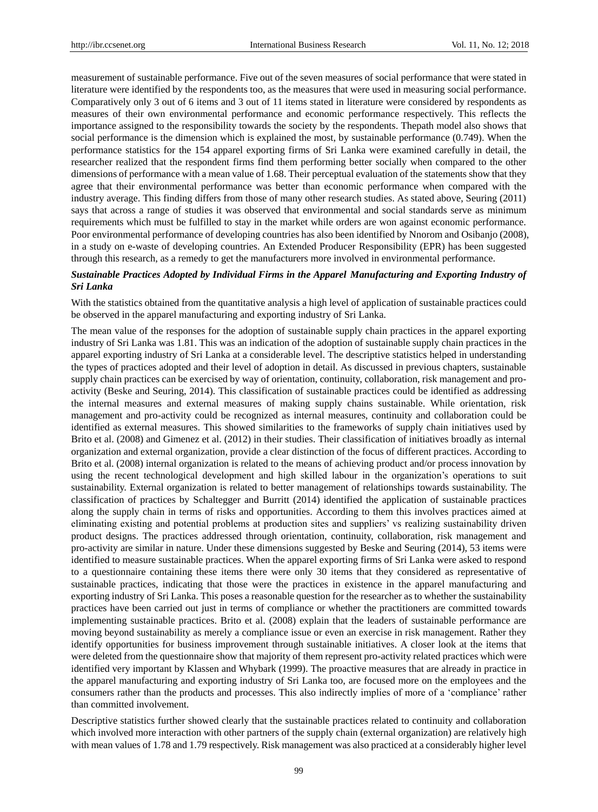measurement of sustainable performance. Five out of the seven measures of social performance that were stated in literature were identified by the respondents too, as the measures that were used in measuring social performance. Comparatively only 3 out of 6 items and 3 out of 11 items stated in literature were considered by respondents as measures of their own environmental performance and economic performance respectively. This reflects the importance assigned to the responsibility towards the society by the respondents. Thepath model also shows that social performance is the dimension which is explained the most, by sustainable performance (0.749). When the performance statistics for the 154 apparel exporting firms of Sri Lanka were examined carefully in detail, the researcher realized that the respondent firms find them performing better socially when compared to the other dimensions of performance with a mean value of 1.68. Their perceptual evaluation of the statements show that they agree that their environmental performance was better than economic performance when compared with the industry average. This finding differs from those of many other research studies. As stated above, Seuring (2011) says that across a range of studies it was observed that environmental and social standards serve as minimum requirements which must be fulfilled to stay in the market while orders are won against economic performance. Poor environmental performance of developing countries has also been identified b[y Nnorom and Osibanjo \(](https://www.sciencedirect.com/science/article/pii/S0921344908000165#!)2008), in a study on e-waste of developing countries. An Extended Producer Responsibility (EPR) has been suggested through this research, as a remedy to get the manufacturers more involved in environmental performance.

# *Sustainable Practices Adopted by Individual Firms in the Apparel Manufacturing and Exporting Industry of Sri Lanka*

With the statistics obtained from the quantitative analysis a high level of application of sustainable practices could be observed in the apparel manufacturing and exporting industry of Sri Lanka.

The mean value of the responses for the adoption of sustainable supply chain practices in the apparel exporting industry of Sri Lanka was 1.81. This was an indication of the adoption of sustainable supply chain practices in the apparel exporting industry of Sri Lanka at a considerable level. The descriptive statistics helped in understanding the types of practices adopted and their level of adoption in detail. As discussed in previous chapters, sustainable supply chain practices can be exercised by way of orientation, continuity, collaboration, risk management and proactivity (Beske and Seuring, 2014). This classification of sustainable practices could be identified as addressing the internal measures and external measures of making supply chains sustainable. While orientation, risk management and pro-activity could be recognized as internal measures, continuity and collaboration could be identified as external measures. This showed similarities to the frameworks of supply chain initiatives used by Brito et al. (2008) and Gimenez et al. (2012) in their studies. Their classification of initiatives broadly as internal organization and external organization, provide a clear distinction of the focus of different practices. According to Brito et al. (2008) internal organization is related to the means of achieving product and/or process innovation by using the recent technological development and high skilled labour in the organization"s operations to suit sustainability. External organization is related to better management of relationships towards sustainability. The classification of practices by Schaltegger and Burritt (2014) identified the application of sustainable practices along the supply chain in terms of risks and opportunities. According to them this involves practices aimed at eliminating existing and potential problems at production sites and suppliers" vs realizing sustainability driven product designs. The practices addressed through orientation, continuity, collaboration, risk management and pro-activity are similar in nature. Under these dimensions suggested by Beske and Seuring (2014), 53 items were identified to measure sustainable practices. When the apparel exporting firms of Sri Lanka were asked to respond to a questionnaire containing these items there were only 30 items that they considered as representative of sustainable practices, indicating that those were the practices in existence in the apparel manufacturing and exporting industry of Sri Lanka. This poses a reasonable question for the researcher as to whether the sustainability practices have been carried out just in terms of compliance or whether the practitioners are committed towards implementing sustainable practices. Brito et al. (2008) explain that the leaders of sustainable performance are moving beyond sustainability as merely a compliance issue or even an exercise in risk management. Rather they identify opportunities for business improvement through sustainable initiatives. A closer look at the items that were deleted from the questionnaire show that majority of them represent pro-activity related practices which were identified very important by Klassen and Whybark (1999). The proactive measures that are already in practice in the apparel manufacturing and exporting industry of Sri Lanka too, are focused more on the employees and the consumers rather than the products and processes. This also indirectly implies of more of a "compliance" rather than committed involvement.

Descriptive statistics further showed clearly that the sustainable practices related to continuity and collaboration which involved more interaction with other partners of the supply chain (external organization) are relatively high with mean values of 1.78 and 1.79 respectively. Risk management was also practiced at a considerably higher level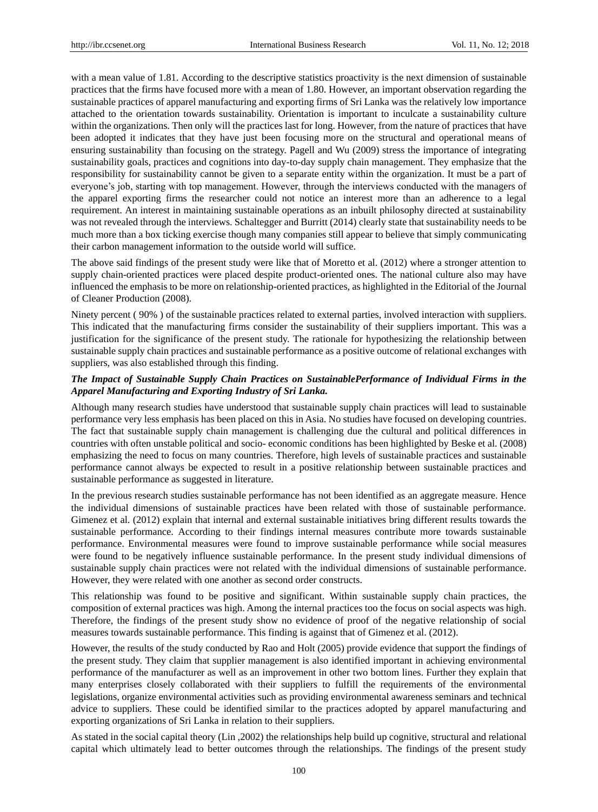with a mean value of 1.81. According to the descriptive statistics proactivity is the next dimension of sustainable practices that the firms have focused more with a mean of 1.80. However, an important observation regarding the sustainable practices of apparel manufacturing and exporting firms of Sri Lanka was the relatively low importance attached to the orientation towards sustainability. Orientation is important to inculcate a sustainability culture within the organizations. Then only will the practices last for long. However, from the nature of practices that have been adopted it indicates that they have just been focusing more on the structural and operational means of ensuring sustainability than focusing on the strategy. Pagell and Wu (2009) stress the importance of integrating sustainability goals, practices and cognitions into day-to-day supply chain management. They emphasize that the responsibility for sustainability cannot be given to a separate entity within the organization. It must be a part of everyone"s job, starting with top management. However, through the interviews conducted with the managers of the apparel exporting firms the researcher could not notice an interest more than an adherence to a legal requirement. An interest in maintaining sustainable operations as an inbuilt philosophy directed at sustainability was not revealed through the interviews. Schaltegger and Burritt (2014) clearly state that sustainability needs to be much more than a box ticking exercise though many companies still appear to believe that simply communicating their carbon management information to the outside world will suffice.

The above said findings of the present study were like that of Moretto et al. (2012) where a stronger attention to supply chain-oriented practices were placed despite product-oriented ones. The national culture also may have influenced the emphasis to be more on relationship-oriented practices, as highlighted in the Editorial of the Journal of Cleaner Production (2008).

Ninety percent ( 90% ) of the sustainable practices related to external parties, involved interaction with suppliers. This indicated that the manufacturing firms consider the sustainability of their suppliers important. This was a justification for the significance of the present study. The rationale for hypothesizing the relationship between sustainable supply chain practices and sustainable performance as a positive outcome of relational exchanges with suppliers, was also established through this finding.

# *The Impact of Sustainable Supply Chain Practices on SustainablePerformance of Individual Firms in the Apparel Manufacturing and Exporting Industry of Sri Lanka.*

Although many research studies have understood that sustainable supply chain practices will lead to sustainable performance very less emphasis has been placed on this in Asia. No studies have focused on developing countries. The fact that sustainable supply chain management is challenging due the cultural and political differences in countries with often unstable political and socio- economic conditions has been highlighted by Beske et al. (2008) emphasizing the need to focus on many countries. Therefore, high levels of sustainable practices and sustainable performance cannot always be expected to result in a positive relationship between sustainable practices and sustainable performance as suggested in literature.

In the previous research studies sustainable performance has not been identified as an aggregate measure. Hence the individual dimensions of sustainable practices have been related with those of sustainable performance. Gimenez et al. (2012) explain that internal and external sustainable initiatives bring different results towards the sustainable performance. According to their findings internal measures contribute more towards sustainable performance. Environmental measures were found to improve sustainable performance while social measures were found to be negatively influence sustainable performance. In the present study individual dimensions of sustainable supply chain practices were not related with the individual dimensions of sustainable performance. However, they were related with one another as second order constructs.

This relationship was found to be positive and significant. Within sustainable supply chain practices, the composition of external practices was high. Among the internal practices too the focus on social aspects was high. Therefore, the findings of the present study show no evidence of proof of the negative relationship of social measures towards sustainable performance. This finding is against that of Gimenez et al. (2012).

However, the results of the study conducted by Rao and Holt (2005) provide evidence that support the findings of the present study. They claim that supplier management is also identified important in achieving environmental performance of the manufacturer as well as an improvement in other two bottom lines. Further they explain that many enterprises closely collaborated with their suppliers to fulfill the requirements of the environmental legislations, organize environmental activities such as providing environmental awareness seminars and technical advice to suppliers. These could be identified similar to the practices adopted by apparel manufacturing and exporting organizations of Sri Lanka in relation to their suppliers.

As stated in the social capital theory (Lin ,2002) the relationships help build up cognitive, structural and relational capital which ultimately lead to better outcomes through the relationships. The findings of the present study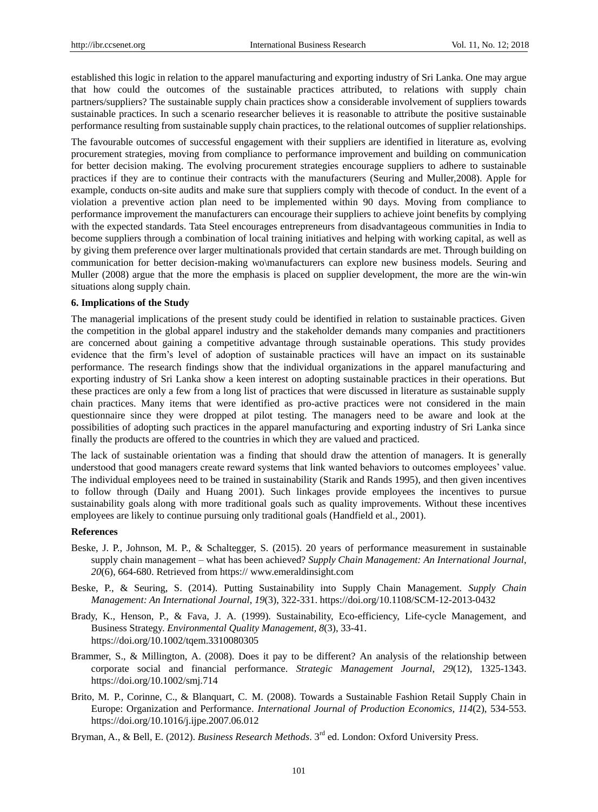established this logic in relation to the apparel manufacturing and exporting industry of Sri Lanka. One may argue that how could the outcomes of the sustainable practices attributed, to relations with supply chain partners/suppliers? The sustainable supply chain practices show a considerable involvement of suppliers towards sustainable practices. In such a scenario researcher believes it is reasonable to attribute the positive sustainable performance resulting from sustainable supply chain practices, to the relational outcomes of supplier relationships.

The favourable outcomes of successful engagement with their suppliers are identified in literature as, evolving procurement strategies, moving from compliance to performance improvement and building on communication for better decision making. The evolving procurement strategies encourage suppliers to adhere to sustainable practices if they are to continue their contracts with the manufacturers (Seuring and Muller,2008). Apple for example, conducts on-site audits and make sure that suppliers comply with thecode of conduct. In the event of a violation a preventive action plan need to be implemented within 90 days. Moving from compliance to performance improvement the manufacturers can encourage their suppliers to achieve joint benefits by complying with the expected standards. Tata Steel encourages entrepreneurs from disadvantageous communities in India to become suppliers through a combination of local training initiatives and helping with working capital, as well as by giving them preference over larger multinationals provided that certain standards are met. Through building on communication for better decision-making wo\manufacturers can explore new business models. Seuring and Muller (2008) argue that the more the emphasis is placed on supplier development, the more are the win-win situations along supply chain.

#### **6. Implications of the Study**

The managerial implications of the present study could be identified in relation to sustainable practices. Given the competition in the global apparel industry and the stakeholder demands many companies and practitioners are concerned about gaining a competitive advantage through sustainable operations. This study provides evidence that the firm"s level of adoption of sustainable practices will have an impact on its sustainable performance. The research findings show that the individual organizations in the apparel manufacturing and exporting industry of Sri Lanka show a keen interest on adopting sustainable practices in their operations. But these practices are only a few from a long list of practices that were discussed in literature as sustainable supply chain practices. Many items that were identified as pro-active practices were not considered in the main questionnaire since they were dropped at pilot testing. The managers need to be aware and look at the possibilities of adopting such practices in the apparel manufacturing and exporting industry of Sri Lanka since finally the products are offered to the countries in which they are valued and practiced.

The lack of sustainable orientation was a finding that should draw the attention of managers. It is generally understood that good managers create reward systems that link wanted behaviors to outcomes employees" value. The individual employees need to be trained in sustainability (Starik and Rands 1995), and then given incentives to follow through (Daily and Huang 2001). Such linkages provide employees the incentives to pursue sustainability goals along with more traditional goals such as quality improvements. Without these incentives employees are likely to continue pursuing only traditional goals (Handfield et al., 2001).

## **References**

- Beske, J. P., [Johnson, M](http://www.emeraldinsight.com/author/Johnson%2C+Matthew+Phillip). P., & [Schaltegger, S](http://www.emeraldinsight.com/author/Schaltegger%2C+Stefan). (2015). 20 years of performance measurement in sustainable supply chain management – what has been achieved? *Supply Chain Management: An International Journal*, *20*(6), 664-680. Retrieved from https:// [www.emeraldinsight.com](http://www.emeraldinsight.com/)
- Beske, P., & Seuring, S. (2014). Putting Sustainability into Supply Chain Management. *Supply Chain Management: An International Journal*, *19*(3), 322-331. https://doi.org/10.1108/SCM-12-2013-0432
- Brady, K., Henson, P., & Fava, J. A. (1999). Sustainability, Eco-efficiency, Life-cycle Management, and Business Strategy. *Environmental Quality Management*, *8*(3), 33-41. https://doi.org/10.1002/tqem.3310080305
- Brammer, S., & Millington, A. (2008). Does it pay to be different? An analysis of the relationship between corporate social and financial performance. *Strategic Management Journal*, *29*(12), 1325-1343. https://doi.org/10.1002/smj.714
- Brito, M. [P., Corinne, C., & Blanquart, C](https://www.sciencedirect.com/science/article/pii/S0925527308000480#!). M. (2008). Towards a Sustainable Fashion Retail Supply Chain in Europe: Organization and Performance. *International Journal of Production Economics, 114*(2), 534-553. https://doi.org/10.1016/j.ijpe.2007.06.012
- Bryman, A., & Bell, E. (2012). *Business Research Methods*. 3rd ed. London: Oxford University Press.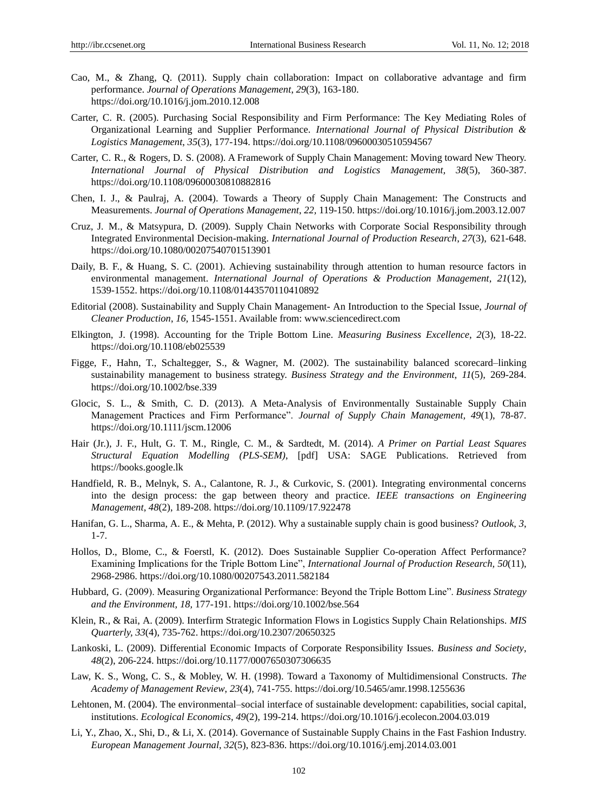- Cao, M., & Zhang, Q. (2011). Supply chain collaboration: Impact on collaborative advantage and firm performance. *Journal of Operations Management*, *29*(3), 163-180. https://doi.org/10.1016/j.jom.2010.12.008
- Carter, C. R. (2005). Purchasing Social Responsibility and Firm Performance: The Key Mediating Roles of Organizational Learning and Supplier Performance. *International Journal of Physical Distribution & Logistics Management*, *35*(3), 177-194. https://doi.org/10.1108/09600030510594567
- Carter, C. R., & Rogers, D. S. (2008). A Framework of Supply Chain Management: Moving toward New Theory. *International Journal of Physical Distribution and Logistics Management, 38*(5), 360-387. https://doi.org/10.1108/09600030810882816
- Chen, I. J., & Paulraj, A. (2004). Towards a Theory of Supply Chain Management: The Constructs and Measurements. *Journal of Operations Management*, *22,* 119-150. https://doi.org/10.1016/j.jom.2003.12.007
- Cruz, J. M., & Matsypura, D. (2009). Supply Chain Networks with Corporate Social Responsibility through Integrated Environmental Decision-making. *[International Journal of Production Research](http://www.tandfonline.com/toc/tprs20/current)*, *27*(3), 621-648. https://doi.org/10.1080/00207540701513901
- Daily, B. F., & Huang, S. C. (2001). Achieving sustainability through attention to human resource factors in environmental management. *International Journal of Operations & Production Management*, *21*(12), 1539-1552. https://doi.org/10.1108/01443570110410892
- Editorial (2008). Sustainability and Supply Chain Management- An Introduction to the Special Issue, *Journal of Cleaner Production*, *16,* 1545-1551. Available from: [www.sciencedirect.com](http://www.sciencedirect.com/)
- Elkington, J. (1998). Accounting for the Triple Bottom Line. *Measuring Business Excellence*, *2*(3), 18-22. https://doi.org/10.1108/eb025539
- Figge, F., Hahn, T., Schaltegger, S., & Wagner, M. (2002). The sustainability balanced scorecard–linking sustainability management to business strategy. *Business Strategy and the Environment*, *11*(5), 269-284. https://doi.org/10.1002/bse.339
- Glocic, S. L., & Smith, C. D. (2013). A Meta-Analysis of Environmentally Sustainable Supply Chain Management Practices and Firm Performance". *Journal of Supply Chain Management, 49*(1), 78-87. https://doi.org/10.1111/jscm.12006
- Hair (Jr.), J. F., Hult, G. T. M., Ringle, C. M., & Sardtedt, M. (2014). *A Primer on Partial Least Squares Structural Equation Modelling (PLS-SEM)*, [pdf] USA: SAGE Publications. Retrieved from https://books.google.lk
- Handfield, R. B., Melnyk, S. A., Calantone, R. J., & Curkovic, S. (2001). Integrating environmental concerns into the design process: the gap between theory and practice. *IEEE transactions on Engineering Management*, *48*(2), 189-208. https://doi.org/10.1109/17.922478
- Hanifan, G. L., Sharma, A. E., & Mehta, P. (2012). Why a sustainable supply chain is good business? *Outlook*, *3*, 1-7.
- [Hollos, D., B](http://www.tandfonline.com/author/Hollos%2C+Daniel)lome, C., & Foerstl, [K. \(2012\).](http://www.tandfonline.com/author/Foerstl%2C+Kai) Does Sustainable Supplier Co-operation Affect Performance? Examining Implications for the Triple Bottom Line", *International Journal of Production Research, 50*(11), 2968-2986. https://doi.org/10.1080/00207543.2011.582184
- Hubbard, G. (2009). Measuring Organizational Performance: Beyond the Triple Bottom Line". *Business Strategy and the Environment, 18,* 177-191. https://doi.org/10.1002/bse.564
- Klein, R., & Rai, A. (2009). Interfirm Strategic Information Flows in Logistics Supply Chain Relationships. *MIS Quarterly, 33*(4), 735-762. https://doi.org/10.2307/20650325
- [Lankoski, L](http://journals.sagepub.com/author/Lankoski%2C+Leena). (2009). [Differential Economic Impacts of Corporate Responsibility Issues.](http://journals.sagepub.com/doi/pdf/10.1177/0007650307306635) *Business and Society*, *48*(2), 206-224. https://doi.org/10.1177/0007650307306635
- Law, K. S., Wong, C. S., & Mobley, W. H. (1998). Toward a Taxonomy of Multidimensional Constructs. *The Academy of Management Review*, *23*(4), 741-755. https://doi.org/10.5465/amr.1998.1255636
- Lehtonen, M. (2004). The environmental–social interface of sustainable development: capabilities, social capital, institutions. *Ecological [Economics, 4](https://www.sciencedirect.com/science/journal/09218009)9*(2), 199-214. https://doi.org/10.1016/j.ecolecon.2004.03.019
- [Li, Y., Z](https://www.sciencedirect.com/science/article/pii/S0263237314000371#!)hao, X.[, Shi, D., &](https://www.sciencedirect.com/science/article/pii/S0263237314000371#!) Li, X. (2014). Governance of Sustainable Supply Chains in the Fast Fashion Industry. *[European Management Journal](https://www.sciencedirect.com/science/journal/02632373)*, *32*[\(5\), 8](https://www.sciencedirect.com/science/journal/02632373)23-836. https://doi.org/10.1016/j.emj.2014.03.001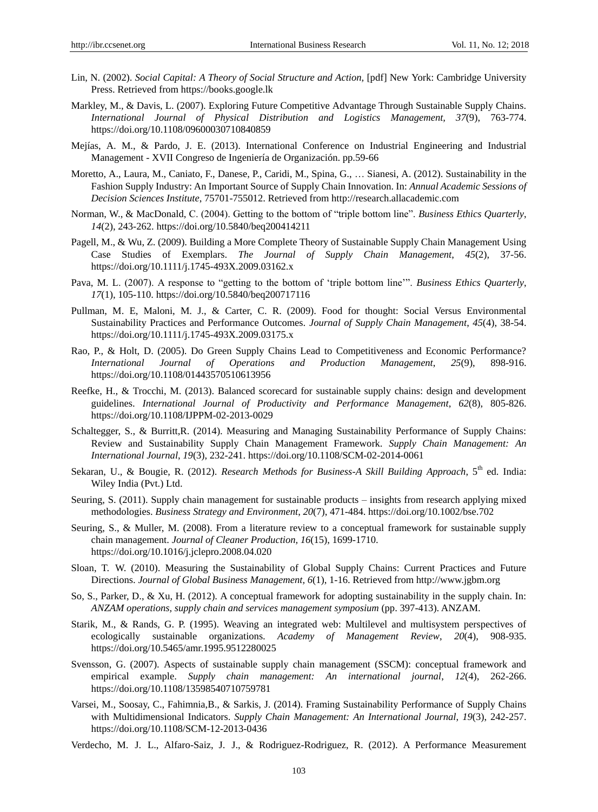- Lin, N. (2002). *Social Capital: A Theory of Social Structure and Action,* [pdf] New York: Cambridge University Press. Retrieved from [https://books.google.lk](https://books.google.lk/)
- Markley, M., & Davis, L. (2007). Exploring Future Competitive Advantage Through Sustainable Supply Chains. *International Journal of Physical Distribution and Logistics Management, 37*(9), 763-774. https://doi.org/10.1108/09600030710840859
- Mejías, A. M., & Pardo, J. E. (2013). International Conference on Industrial Engineering and Industrial Management - XVII Congreso de Ingenier á de Organización. pp.59-66
- [Moretto, A](https://www.sciencedirect.com/science/article/pii/S0925527311002659#!)., Laura, M., [Caniato, F](https://www.sciencedirect.com/science/article/pii/S0925527311002659#!)., Danese, P.[, Caridi, M](https://www.sciencedirect.com/science/article/pii/S0925527311002659#!)., Spina, G., … Sianesi, A. (2012). Sustainability in the Fashion Supply Industry: An Important Source of Supply Chain Innovation. In: *Annual Academic Sessions of Decision Sciences Institute*, 75701-755012. Retrieved from http://research.allacademic.com
- Norman, W., & MacDonald, C. (2004). Getting to the bottom of "triple bottom line". *Business Ethics Quarterly*, *14*(2), 243-262. https://doi.org/10.5840/beq200414211
- Pagell, M., & Wu, Z. (2009). Building a More Complete Theory of Sustainable Supply Chain Management Using Case Studies of Exemplars. *The Journal of Supply Chain Management*, *45*(2), 37-56. https://doi.org/10.1111/j.1745-493X.2009.03162.x
- Pava, M. L. (2007). A response to "getting to the bottom of 'triple bottom line"". *Business Ethics Quarterly*, *17*(1), 105-110. https://doi.org/10.5840/beq200717116
- Pullman, M. E, Maloni, M. J., & Carter, C. R. (2009). Food for thought: Social Versus Environmental Sustainability Practices and Performance Outcomes. *Journal of Supply Chain Management*, *45*(4), 38-54. https://doi.org/10.1111/j.1745-493X.2009.03175.x
- Rao, P., & Holt, D. (2005). Do Green Supply Chains Lead to Competitiveness and Economic Performance? *International Journal of Operations and Production Management*, *25*(9), 898-916. https://doi.org/10.1108/01443570510613956
- Reefke, H., & Trocchi, M. (2013). Balanced scorecard for sustainable supply chains: design and development guidelines. *International Journal of Productivity and Performance Management*, *62*(8), 805-826. https://doi.org/10.1108/IJPPM-02-2013-0029
- Schaltegger, S., & [Burritt,R. \(](http://www.emeraldinsight.com/author/Burritt%2C+Roger)2014). Measuring and Managing Sustainability Performance of Supply Chains: Review and Sustainability Supply Chain Management Framework. *Supply Chain Management: An International Journal*, *19*(3), 232-241. https://doi.org/10.1108/SCM-02-2014-0061
- Sekaran, U., & Bougie, R. (2012). *Research Methods for Business-A Skill Building Approach*, 5<sup>th</sup> ed. India: Wiley India (Pvt.) Ltd.
- Seuring, S. (2011). Supply chain management for sustainable products insights from research applying mixed methodologies. *Business Strategy and Environment*, *20*(7), 471-484. https://doi.org/10.1002/bse.702
- Seuring, S., & Muller, M. (2008). From a literature review to a conceptual framework for sustainable supply chain management. *[Journal of Cleaner Production,](https://www.sciencedirect.com/science/journal/09596526) 16*(15), 1699-1710. https://doi.org/10.1016/j.jclepro.2008.04.020
- [Sloan, T.](https://search.proquest.com/indexinglinkhandler/sng/au/Sloan,+Thomas+W/$N;jsessionid=9E2970210C8649D931763874F69FCA0B.i-0d004799222e75a9b) W. (2010). Measuring the Sustainability of Global Supply Chains: Current Practices and Future Directions. *[Journal of Global Business Management,](https://search.proquest.com/pubidlinkhandler/sng/pubtitle/Journal+of+Global+Business+Management/$N/406316/OpenView/867266099/$B/A8DAA60BF360479DPQ/1;jsessionid=9E2970210C8649D931763874F69FCA0B.i-0d004799222e75a9b) 6*[\(1\),](6(1),%20) 1-16. Retrieved fro[m http://www.jgbm.org](http://www.jgbm.org/)
- So, S., Parker, D., & Xu, H. (2012). A conceptual framework for adopting sustainability in the supply chain. In: *ANZAM operations, supply chain and services management symposium* (pp. 397-413). ANZAM.
- Starik, M., & Rands, G. P. (1995). Weaving an integrated web: Multilevel and multisystem perspectives of ecologically sustainable organizations. *Academy of Management Review*, *20*(4), 908-935. https://doi.org/10.5465/amr.1995.9512280025
- Svensson, G. (2007). Aspects of sustainable supply chain management (SSCM): conceptual framework and empirical example. *Supply chain management: An international journal*, *12*(4), 262-266. https://doi.org/10.1108/13598540710759781
- Varsei, M., [Soosay, C](http://www.emeraldinsight.com/author/Soosay%2C+Claudine)., [Fahimnia,B., &](http://www.emeraldinsight.com/author/Fahimnia%2C+Behnam) [Sarkis, J](http://www.emeraldinsight.com/author/Sarkis%2C+Joseph). (2014). Framing Sustainability Performance of Supply Chains with Multidimensional Indicators. *Supply Chain Management: An International Journal*, *19*(3), 242-257. https://doi.org/10.1108/SCM-12-2013-0436
- Verdecho, M. J. L., Alfaro-Saiz, J. J., & Rodriguez-Rodriguez, R. (2012). A Performance Measurement